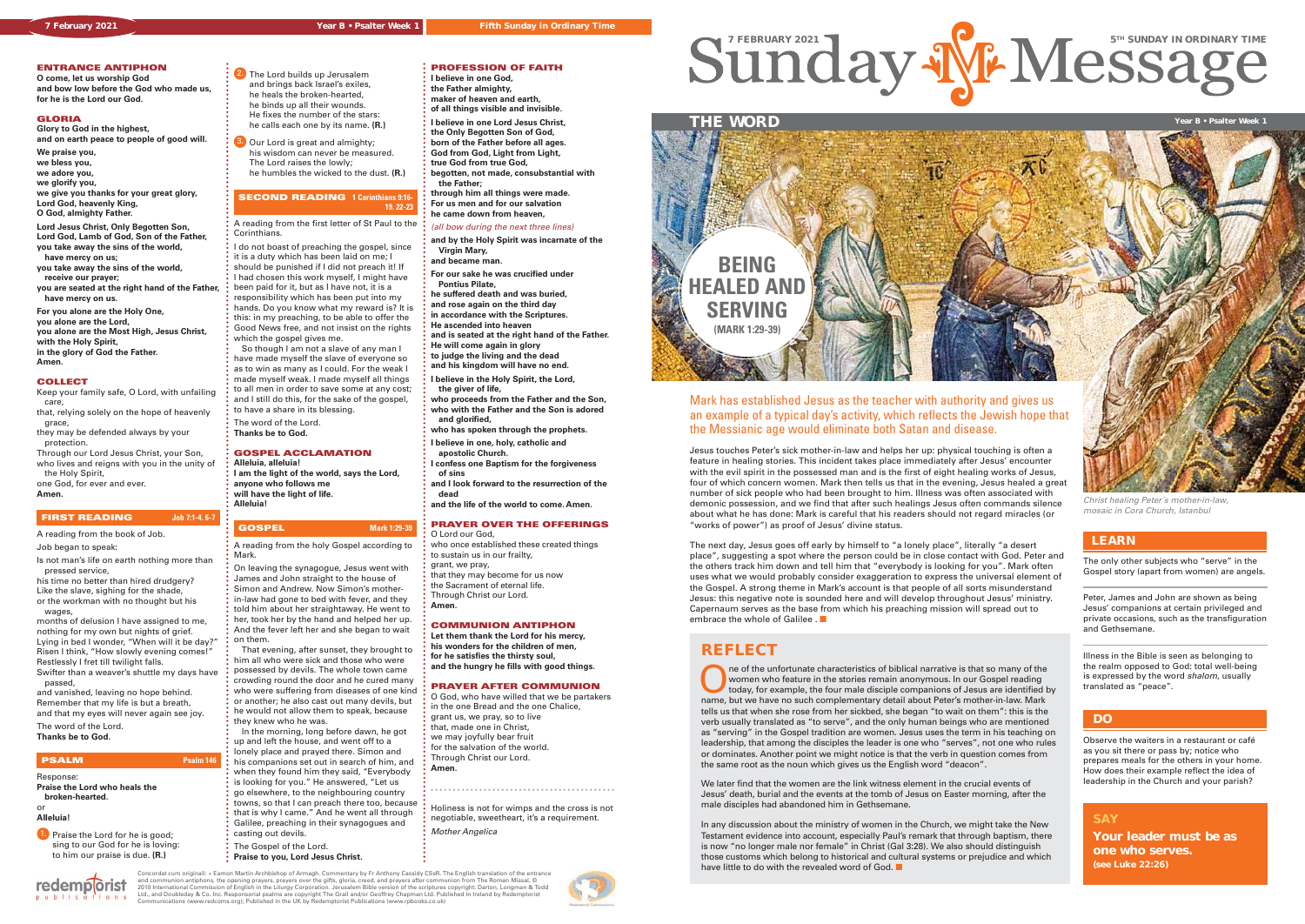





## **ENTRANCE ANTIPHON**

**O come, let us worship God and bow low before the God who made us, for he is the Lord our God.**

# **GLORIA**

**Glory to God in the highest, and on earth peace to people of good will.**

**We praise you,**

**we bless you,**

**we adore you, we glorify you,**

- 
- **we give you thanks for your great glory, Lord God, heavenly King, O God, almighty Father.**

**Lord Jesus Christ, Only Begotten Son, Lord God, Lamb of God, Son of the Father,**

- **you take away the sins of the world, have mercy on us; you take away the sins of the world, receive our prayer;**
- **you are seated at the right hand of the Father, have mercy on us.**

1. Praise the Lord for he is good: sing to our God for he is loving: to him our praise is due. **(R.)**

 $0<sub>n</sub> s$ 

**For you alone are the Holy One, you alone are the Lord, you alone are the Most High, Jesus Christ, with the Holy Spirit, in the glory of God the Father.**

2. The Lord builds up Jerusalem and brings back Israel's exiles, he heals the broken-hearted, he binds up all their wounds. He fixes the number of the stars: he calls each one by its name. **(R.)**

# **Amen.**

#### **COLLECT**

#### **SECOND READING 1 Corinthians 9:16 19. 22-23**

A reading from the first letter of St Paul to the **Corinthians** 

Keep your family safe, O Lord, with unfailing care, that, relying solely on the hope of heavenly

 grace, they may be defended always by your

 protection. Through our Lord Jesus Christ, your Son,

who lives and reigns with you in the unity of the Holy Spirit, one God, for ever and ever.

## **Amen.**

## **FIRST READING Job 7:1-4. 6-7**

A reading from the book of Job. Job began to speak:

Is not man's life on earth nothing more than pressed service,

his time no better than hired drudgery? Like the slave, sighing for the shade,

or the workman with no thought but his wages,

months of delusion I have assigned to me, nothing for my own but nights of grief. Lying in bed I wonder, "When will it be day?" Risen I think, "How slowly evening comes!" Restlessly I fret till twilight falls. Swifter than a weaver's shuttle my days have

 passed, and vanished, leaving no hope behind.

Remember that my life is but a breath, and that my eyes will never again see joy.

The word of the Lord. **Thanks be to God.** 

redemplorist

## **PSALM Psalm 146**

Response:

**Praise the Lord who heals the broken-hearted.** or

## **Alleluia!**

3. Our Lord is great and almighty; his wisdom can never be measured. The Lord raises the lowly; he humbles the wicked to the dust. **(R.)**

I do not boast of preaching the gospel, since it is a duty which has been laid on me; I should be punished if I did not preach it! If I had chosen this work myself, I might have been paid for it, but as I have not, it is a responsibility which has been put into my hands. Do you know what my reward is? It is this: in my preaching, to be able to offer the Good News free, and not insist on the rights

which the gospel gives me. So though I am not a slave of any man I have made myself the slave of everyone so as to win as many as I could. For the weak I made myself weak. I made myself all things to all men in order to save some at any cost; and I still do this, for the sake of the gospel, to have a share in its blessing.

The word of the Lord. **Thanks be to God.**

# **GOSPEL ACCLAMATION**

- **Alleluia, alleluia! I am the light of the world, says the Lord,**
- **anyone who follows me will have the light of life. Alleluia!**

# **GOSPEL Mark 1:29-39**

A reading from the holy Gospel according to Mark.

> The of the unfortunate characteristics of biblical narrative is that so many of the women who feature in the stories remain anonymous. In our Gospel reading today, for example, the four male disciple companions of Jesus ar women who feature in the stories remain anonymous. In our Gospel reading name, but we have no such complementary detail about Peter's mother-in-law. Mark tells us that when she rose from her sickbed, she began "to wait on them": this is the verb usually translated as "to serve", and the only human beings who are mentioned as "serving" in the Gospel tradition are women. Jesus uses the term in his teaching on leadership, that among the disciples the leader is one who "serves", not one who rules or dominates. Another point we might notice is that the verb in question comes from the same root as the noun which gives us the English word "deacon".

In any discussion about the ministry of women in the Church, we might take the New Testament evidence into account, especially Paul's remark that through baptism, there is now "no longer male nor female" in Christ (Gal 3:28). We also should distinguish those customs which belong to historical and cultural systems or prejudice and which have little to do with the revealed word of God.  $\blacksquare$ 

On leaving the synagogue, Jesus went with James and John straight to the house of Simon and Andrew. Now Simon's motherin-law had gone to bed with fever, and they told him about her straightaway. He went to her, took her by the hand and helped her up. And the fever left her and she began to wait

on them.

 That evening, after sunset, they brought to him all who were sick and those who were possessed by devils. The whole town came crowding round the door and he cured many who were suffering from diseases of one kind or another; he also cast out many devils, but he would not allow them to speak, because they knew who he was.

 In the morning, long before dawn, he got up and left the house, and went off to a

lonely place and prayed there. Simon and his companions set out in search of him, and

- when they found him they said, "Everybody is looking for you." He answered, "Let us
- go elsewhere, to the neighbouring country towns, so that I can preach there too, because
- that is why I came." And he went all through Galilee, preaching in their synagogues and
- casting out devils. The Gospel of the Lord.
	-
	- **Praise to you, Lord Jesus Christ.**

The next day, Jesus goes off early by himself to "a lonely place", literally "a desert place", suggesting a spot where the person could be in close contact with God. Peter and the others track him down and tell him that "everybody is looking for you". Mark often uses what we would probably consider exaggeration to express the universal element of the Gospel. A strong theme in Mark's account is that people of all sorts misunderstand Jesus: this negative note is sounded here and will develop throughout Jesus' ministry. Capernaum serves as the base from which his preaching mission will spread out to embrace the whole of Galilee .  $\blacksquare$ 

#### **PROFESSION OF FAITH I believe in one God,**

**the Father almighty, maker of heaven and earth, of all things visible and invisible. I believe in one Lord Jesus Christ, the Only Begotten Son of God,**

**born of the Father before all ages. God from God, Light from Light, true God from true God,**

**begotten, not made, consubstantial with the Father;**

**through him all things were made. For us men and for our salvation he came down from heaven,**

(all bow during the next three lines)

**and by the Holy Spirit was incarnate of the Virgin Mary, and became man.**

**For our sake he was crucified under Pontius Pilate,**

**he suffered death and was buried, and rose again on the third day**

**in accordance with the Scriptures.**

**He ascended into heaven and is seated at the right hand of the Father.**

**He will come again in glory**

**to judge the living and the dead and his kingdom will have no end.**

**I believe in the Holy Spirit, the Lord,** 

 **the giver of life, who proceeds from the Father and the Son, who with the Father and the Son is adored and glorified,** 

**who has spoken through the prophets.**

**I believe in one, holy, catholic and** 

 **apostolic Church.**

**I confess one Baptism for the forgiveness of sins**

**and I look forward to the resurrection of the dead** 

**and the life of the world to come. Amen.**

# **PRAYER OVER THE OFFERINGS**

O Lord our God, who once established these created things to sustain us in our frailty, grant, we pray,

that they may become for us now the Sacrament of eternal life.

Through Christ our Lord.

**Amen.**

# **COMMUNION ANTIPHON**

**Let them thank the Lord for his mercy, his wonders for the children of men, for he satisfies the thirsty soul, and the hungry he fills with good things.**

#### **PRAYER AFTER COMMUNION**

O God, who have willed that we be partakers in the one Bread and the one Chalice, grant us, we pray, so to live that, made one in Christ, we may joyfully bear fruit for the salvation of the world. Through Christ our Lord. **Amen.**

Holiness is not for wimps and the cross is not negotiable, sweetheart, it's a requirement. Mother Angelica

We later find that the women are the link witness element in the crucial events of Jesus' death, burial and the events at the tomb of Jesus on Easter morning, after the male disciples had abandoned him in Gethsemane.

# **REFLECT**

**SAY Your leader must be as one who serves. (see Luke 22:26)**

The only other subjects who "serve" in the Gospel story (apart from women) are angels.

Peter, James and John are shown as being Jesus' companions at certain privileged and private occasions, such as the transfiguration and Gethsemane.

Illness in the Bible is seen as belonging to the realm opposed to God: total well-being is expressed by the word shalom, usually translated as "peace".



# **LEARN**

Observe the waiters in a restaurant or café as you sit there or pass by; notice who prepares meals for the others in your home. How does their example reflect the idea of leadership in the Church and your parish?

# **DO**

# an example of a typical day's activity, which reflects the Jewish hope that the Messianic age would eliminate both Satan and disease.

Jesus touches Peter's sick mother-in-law and helps her up: physical touching is often a feature in healing stories. This incident takes place immediately after Jesus' encounter with the evil spirit in the possessed man and is the first of eight healing works of Jesus, four of which concern women. Mark then tells us that in the evening, Jesus healed a great number of sick people who had been brought to him. Illness was often associated with demonic possession, and we find that after such healings Jesus often commands silence about what he has done: Mark is careful that his readers should not regard miracles (or "works of power") as proof of Jesus' divine status.

Christ healing Peter´s mother-in-law, mosaic in Cora Church, Istanbul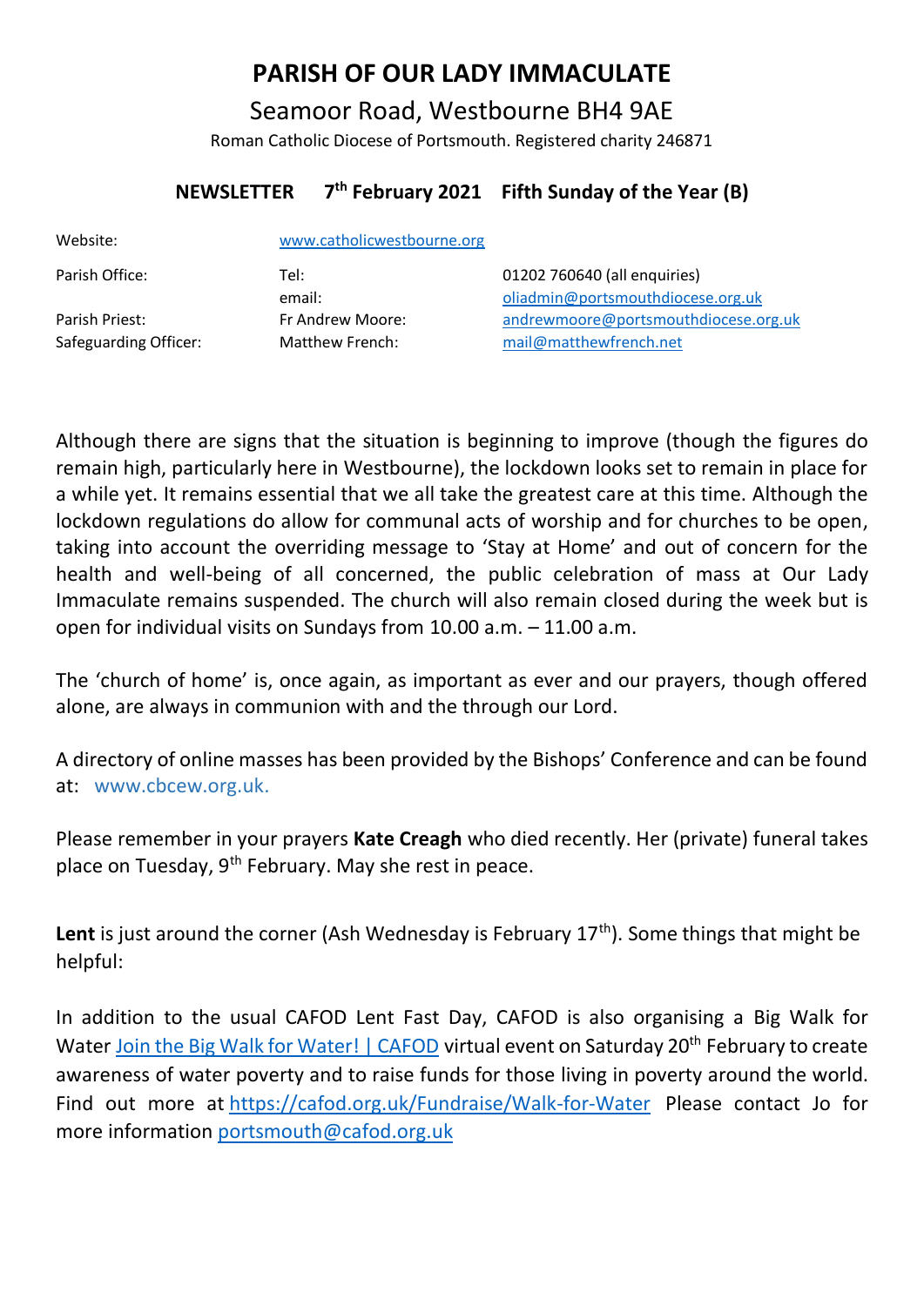# **PARISH OF OUR LADY IMMACULATE**

Seamoor Road, Westbourne BH4 9AE Roman Catholic Diocese of Portsmouth. Registered charity 246871

#### **NEWSLETTER 7 th February 2021 Fifth Sunday of the Year (B)**

| Website:                                | www.catholicwestbourne.org          |                                                                   |
|-----------------------------------------|-------------------------------------|-------------------------------------------------------------------|
| Parish Office:                          | Tel:<br>email:                      | 01202 760640 (all enquiries)<br>oliadmin@portsmouthdiocese.org.uk |
| Parish Priest:<br>Safeguarding Officer: | Fr Andrew Moore:<br>Matthew French: | andrewmoore@portsmouthdiocese.org.uk<br>mail@matthewfrench.net    |

Although there are signs that the situation is beginning to improve (though the figures do remain high, particularly here in Westbourne), the lockdown looks set to remain in place for a while yet. It remains essential that we all take the greatest care at this time. Although the lockdown regulations do allow for communal acts of worship and for churches to be open, taking into account the overriding message to 'Stay at Home' and out of concern for the health and well-being of all concerned, the public celebration of mass at Our Lady Immaculate remains suspended. The church will also remain closed during the week but is open for individual visits on Sundays from 10.00 a.m. – 11.00 a.m.

The 'church of home' is, once again, as important as ever and our prayers, though offered alone, are always in communion with and the through our Lord.

A directory of online masses has been provided by the Bishops' Conference and can be found at: www.cbcew.org.uk.

Please remember in your prayers **Kate Creagh** who died recently. Her (private) funeral takes place on Tuesday, 9th February. May she rest in peace.

Lent is just around the corner (Ash Wednesday is February 17<sup>th</sup>). Some things that might be helpful:

In addition to the usual CAFOD Lent Fast Day, CAFOD is also organising a Big Walk for Water Join the Big Walk for [Water!](https://cafod.org.uk/Fundraise/Organise-an-event/Big-Walk-for-Water) | CAFOD virtual event on Saturday 20<sup>th</sup> February to create awareness of water poverty and to raise funds for those living in poverty around the world. Find out more at <https://cafod.org.uk/Fundraise/Walk-for-Water>Please contact Jo for more information [portsmouth@cafod.org.uk](mailto:portsmouth@cafod.org.uk)